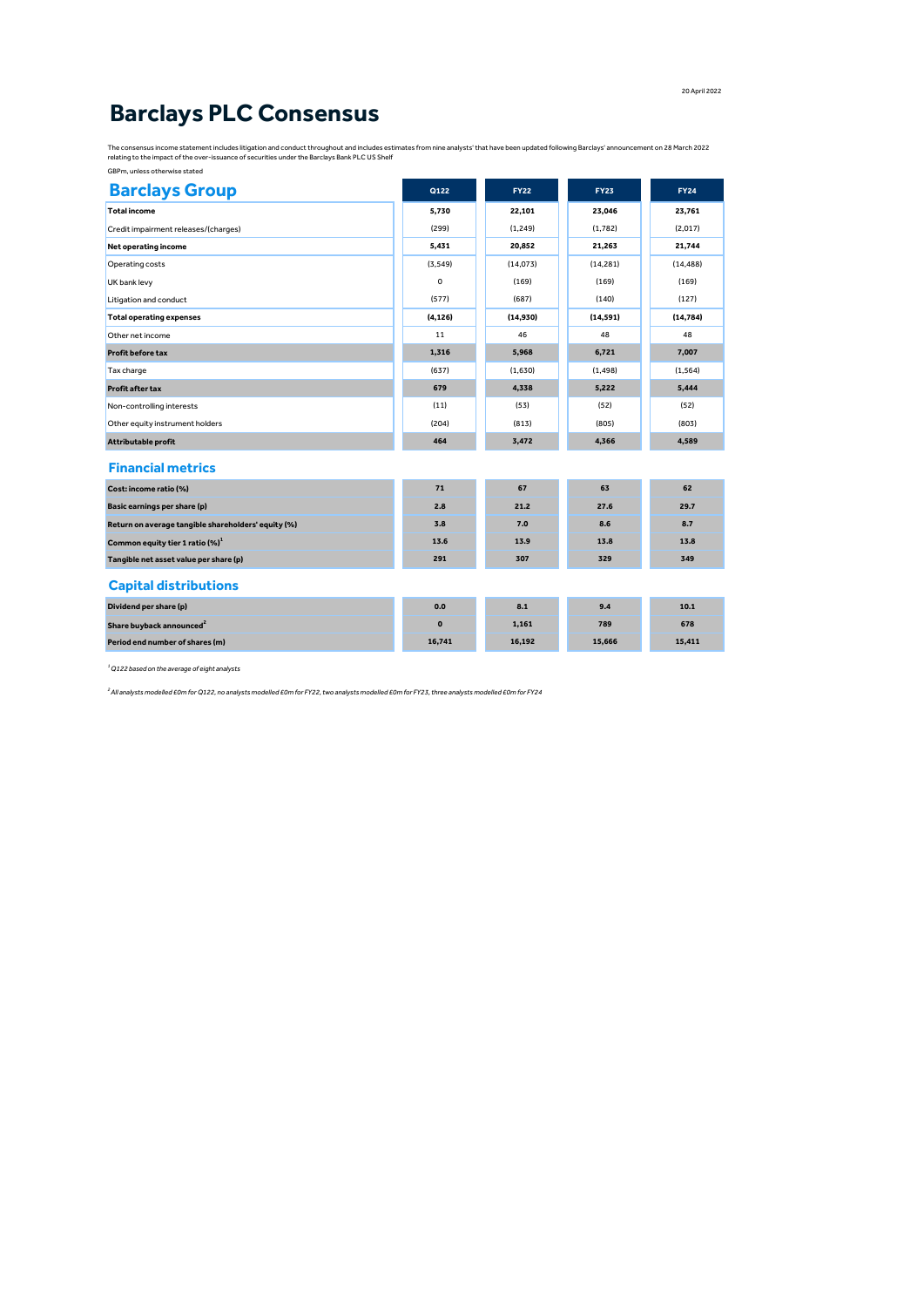## **Barclays PLC Consensus**

The consensus income statement includes litigation and conduct throughout and includes estimates from nine analysts' that have been updated following Barclays' announcement on 28 March 2022<br>relating to the impact of the ov

| GBPm, unless otherwise stated |  |
|-------------------------------|--|
|                               |  |

| <b>Barclays Group</b>                               | Q122         | <b>FY22</b> | <b>FY23</b> | <b>FY24</b> |
|-----------------------------------------------------|--------------|-------------|-------------|-------------|
| <b>Total income</b>                                 | 5.730        | 22,101      | 23,046      | 23.761      |
| Credit impairment releases/(charges)                | (299)        | (1, 249)    | (1.782)     | (2,017)     |
| Net operating income                                | 5,431        | 20,852      | 21,263      | 21.744      |
| Operating costs                                     | (3, 549)     | (14,073)    | (14, 281)   | (14, 488)   |
| UK bank levy                                        | 0            | (169)       | (169)       | (169)       |
| Litigation and conduct                              | (577)        | (687)       | (140)       | (127)       |
| <b>Total operating expenses</b>                     | (4, 126)     | (14,930)    | (14, 591)   | (14, 784)   |
| Other net income                                    | 11           | 46          | 48          | 48          |
| <b>Profit before tax</b>                            | 1,316        | 5,968       | 6,721       | 7,007       |
| Tax charge                                          | (637)        | (1,630)     | (1, 498)    | (1, 564)    |
| <b>Profit after tax</b>                             | 679          | 4,338       | 5,222       | 5,444       |
| Non-controlling interests                           | (11)         | (53)        | (52)        | (52)        |
| Other equity instrument holders                     | (204)        | (813)       | (805)       | (803)       |
| Attributable profit                                 | 464          | 3,472       | 4,366       | 4,589       |
| <b>Financial metrics</b>                            |              |             |             |             |
| Cost: income ratio (%)                              | 71           | 67          | 63          | 62          |
| <b>Basic earnings per share (p)</b>                 | 2.8          | 21.2        | 27.6        | 29.7        |
| Return on average tangible shareholders' equity (%) | 3.8          | 7.0         | 8.6         | 8.7         |
| Common equity tier 1 ratio (%) <sup>1</sup>         | 13.6         | 13.9        | 13.8        | 13.8        |
| Tangible net asset value per share (p)              | 291          | 307         | 329         | 349         |
| <b>Capital distributions</b>                        |              |             |             |             |
| Dividend per share (p)                              | 0.0          | 8.1         | 9.4         | 10.1        |
| Share buyback announced <sup>2</sup>                | $\mathbf{o}$ | 1,161       | 789         | 678         |
| Period end number of shares (m)                     | 16,741       | 16,192      | 15,666      | 15,411      |
|                                                     |              |             |             |             |

*<sup>1</sup>Q122 based on the average of eight analysts*

*2 All analysts modelled £0m for Q122, no analysts modelled £0m for FY22, two analysts modelled £0m for FY23, three analysts modelled £0m for FY24*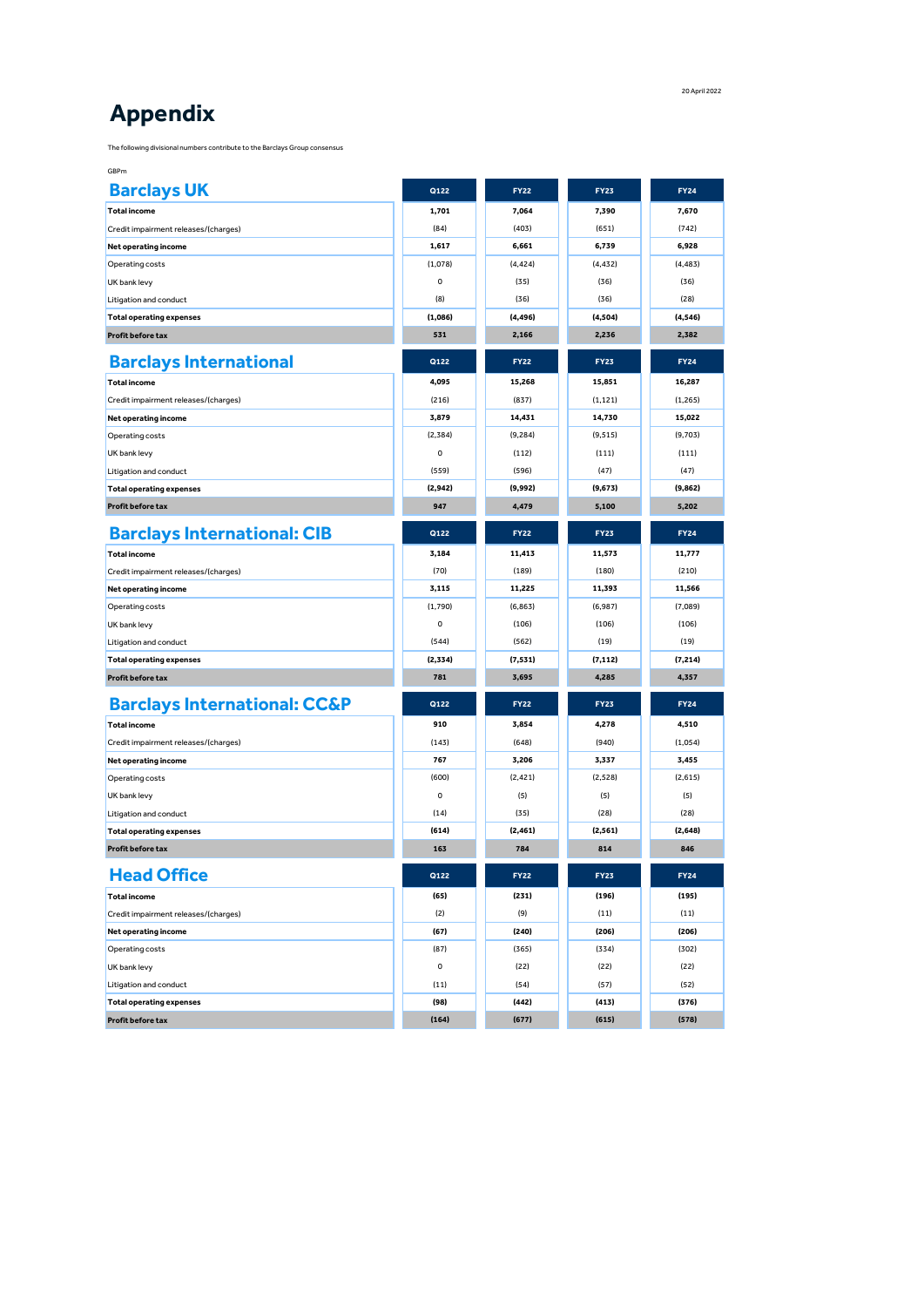## **Appendix**

The following divisional numbers contribute to the Barclays Group consensus

| GBPm                                    |          |             |             |             |
|-----------------------------------------|----------|-------------|-------------|-------------|
| <b>Barclays UK</b>                      | Q122     | <b>FY22</b> | <b>FY23</b> | <b>FY24</b> |
| <b>Total income</b>                     | 1,701    | 7,064       | 7,390       | 7,670       |
| Credit impairment releases/(charges)    | (84)     | (403)       | (651)       | (742)       |
| Net operating income                    | 1,617    | 6,661       | 6,739       | 6,928       |
| Operating costs                         | (1,078)  | (4, 424)    | (4, 432)    | (4, 483)    |
| UK bank levy                            | 0        | (35)        | (36)        | (36)        |
| Litigation and conduct                  | (8)      | (36)        | (36)        | (28)        |
| <b>Total operating expenses</b>         | (1,086)  | (4, 496)    | (4,504)     | (4, 546)    |
| Profit before tax                       | 531      | 2,166       | 2,236       | 2,382       |
| <b>Barclays International</b>           | Q122     | <b>FY22</b> | <b>FY23</b> | <b>FY24</b> |
| <b>Total income</b>                     | 4,095    | 15,268      | 15,851      | 16,287      |
| Credit impairment releases/(charges)    | (216)    | (837)       | (1, 121)    | (1,265)     |
| Net operating income                    | 3,879    | 14,431      | 14,730      | 15,022      |
| Operating costs                         | (2,384)  | (9, 284)    | (9, 515)    | (9,703)     |
| UK bank levy                            | 0        | (112)       | (111)       | (111)       |
| Litigation and conduct                  | (559)    | (596)       | (47)        | (47)        |
| <b>Total operating expenses</b>         | (2,942)  | (9,992)     | (9,673)     | (9, 862)    |
| <b>Profit before tax</b>                | 947      | 4,479       | 5,100       | 5,202       |
| <b>Barclays International: CIB</b>      | Q122     | <b>FY22</b> | <b>FY23</b> | <b>FY24</b> |
| <b>Total income</b>                     | 3,184    | 11,413      | 11,573      | 11,777      |
| Credit impairment releases/(charges)    | (70)     | (189)       | (180)       | (210)       |
| Net operating income                    | 3,115    | 11,225      | 11,393      | 11,566      |
| Operating costs                         | (1.790)  | (6, 863)    | (6,987)     | (7,089)     |
| UK bank levy                            | 0        | (106)       | (106)       | (106)       |
| Litigation and conduct                  | (544)    | (562)       | (19)        | (19)        |
| <b>Total operating expenses</b>         | (2, 334) | (7, 531)    | (7, 112)    | (7, 214)    |
| <b>Profit before tax</b>                | 781      | 3,695       | 4,285       | 4,357       |
| <b>Barclays International: CC&amp;P</b> | Q122     | <b>FY22</b> | <b>FY23</b> | <b>FY24</b> |
| <b>Total income</b>                     | 910      | 3,854       | 4,278       | 4,510       |
| Credit impairment releases/(charges)    | (143)    | (648)       | (940)       | (1,054)     |
| Net operating income                    | 767      | 3,206       | 3,337       | 3,455       |
| Operating costs                         | (600)    | (2, 421)    | (2,528)     | (2,615)     |
| UK bank levy                            | 0        | (5)         | (5)         | (5)         |
| Litigation and conduct                  | (14)     | (35)        | (28)        | (28)        |
| <b>Total operating expenses</b>         | (614)    | (2, 461)    | (2, 561)    | (2, 648)    |
| Profit before tax                       | 163      | 784         | 814         | 846         |
| <b>Head Office</b>                      | Q122     | <b>FY22</b> | <b>FY23</b> | <b>FY24</b> |
| <b>Total income</b>                     | (65)     | (231)       | (196)       | (195)       |
| Credit impairment releases/(charges)    | (2)      | (9)         | (11)        | (11)        |
| Net operating income                    | (67)     | (240)       | (206)       | (206)       |
| Operating costs                         | (87)     | (365)       | (334)       | (302)       |
| UK bank levy                            | 0        | (22)        | (22)        | (22)        |
| Litigation and conduct                  | (11)     | (54)        | (57)        | (52)        |
| <b>Total operating expenses</b>         | (98)     | (442)       | (413)       | (376)       |
| <b>Profit before tax</b>                | (164)    | (677)       | (615)       | (578)       |